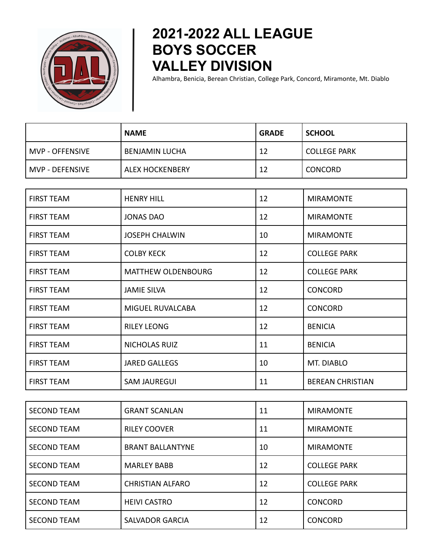

## **2021-2022 ALL LEAGUE BOYS SOCCER VALLEY DIVISION**

Alhambra, Benicia, Berean Christian, College Park, Concord, Miramonte, Mt. Diablo

|                 | <b>NAME</b>            | <b>GRADE</b> | <b>SCHOOL</b>       |
|-----------------|------------------------|--------------|---------------------|
| MVP - OFFENSIVE | <b>BENJAMIN LUCHA</b>  | 12           | <b>COLLEGE PARK</b> |
| MVP - DEFENSIVE | <b>ALEX HOCKENBERY</b> | 12           | <b>CONCORD</b>      |

| <b>FIRST TEAM</b> | <b>HENRY HILL</b>         | 12 | <b>MIRAMONTE</b>        |
|-------------------|---------------------------|----|-------------------------|
| <b>FIRST TEAM</b> | <b>JONAS DAO</b>          | 12 | <b>MIRAMONTE</b>        |
| <b>FIRST TEAM</b> | <b>JOSEPH CHALWIN</b>     | 10 | <b>MIRAMONTE</b>        |
| <b>FIRST TEAM</b> | <b>COLBY KECK</b>         | 12 | <b>COLLEGE PARK</b>     |
| <b>FIRST TEAM</b> | <b>MATTHEW OLDENBOURG</b> | 12 | <b>COLLEGE PARK</b>     |
| <b>FIRST TEAM</b> | <b>JAMIE SILVA</b>        | 12 | <b>CONCORD</b>          |
| <b>FIRST TEAM</b> | MIGUEL RUVALCABA          | 12 | <b>CONCORD</b>          |
| <b>FIRST TEAM</b> | <b>RILEY LEONG</b>        | 12 | <b>BENICIA</b>          |
| <b>FIRST TEAM</b> | <b>NICHOLAS RUIZ</b>      | 11 | <b>BENICIA</b>          |
| <b>FIRST TEAM</b> | <b>JARED GALLEGS</b>      | 10 | MT. DIABLO              |
| <b>FIRST TEAM</b> | <b>SAM JAUREGUI</b>       | 11 | <b>BEREAN CHRISTIAN</b> |

| <b>SECOND TEAM</b> | <b>GRANT SCANLAN</b>    | 11 | <b>MIRAMONTE</b>    |
|--------------------|-------------------------|----|---------------------|
| <b>SECOND TEAM</b> | <b>RILEY COOVER</b>     | 11 | <b>MIRAMONTE</b>    |
| <b>SECOND TEAM</b> | <b>BRANT BALLANTYNE</b> | 10 | <b>MIRAMONTE</b>    |
| <b>SECOND TEAM</b> | <b>MARLEY BABB</b>      | 12 | <b>COLLEGE PARK</b> |
| <b>SECOND TEAM</b> | <b>CHRISTIAN ALFARO</b> | 12 | <b>COLLEGE PARK</b> |
| <b>SECOND TEAM</b> | <b>HEIVI CASTRO</b>     | 12 | <b>CONCORD</b>      |
| <b>SECOND TEAM</b> | <b>SALVADOR GARCIA</b>  | 12 | <b>CONCORD</b>      |